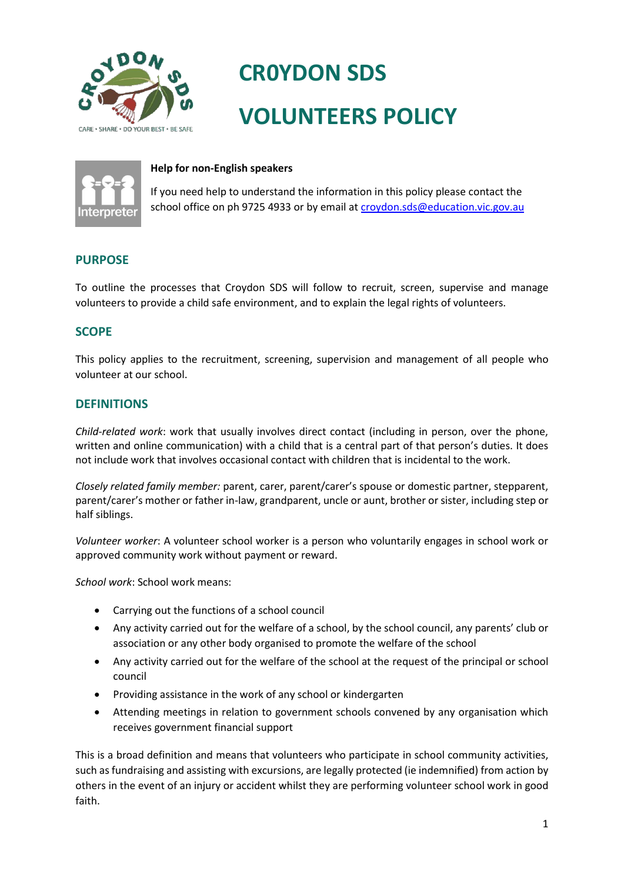

# **CR0YDON SDS VOLUNTEERS POLICY**



## **Help for non-English speakers**

If you need help to understand the information in this policy please contact the school office on ph 9725 4933 or by email at [croydon.sds@education.vic.gov.au](mailto:croydon.sds@education.vic.gov.au)

# **PURPOSE**

To outline the processes that Croydon SDS will follow to recruit, screen, supervise and manage volunteers to provide a child safe environment, and to explain the legal rights of volunteers.

# **SCOPE**

This policy applies to the recruitment, screening, supervision and management of all people who volunteer at our school.

## **DEFINITIONS**

*Child-related work*: work that usually involves direct contact (including in person, over the phone, written and online communication) with a child that is a central part of that person's duties. It does not include work that involves occasional contact with children that is incidental to the work.

*Closely related family member:* parent, carer, parent/carer's spouse or domestic partner, stepparent, parent/carer's mother or father in-law, grandparent, uncle or aunt, brother or sister, including step or half siblings.

*Volunteer worker*: A volunteer school worker is a person who voluntarily engages in school work or approved community work without payment or reward.

*School work*: School work means:

- Carrying out the functions of a school council
- Any activity carried out for the welfare of a school, by the school council, any parents' club or association or any other body organised to promote the welfare of the school
- Any activity carried out for the welfare of the school at the request of the principal or school council
- Providing assistance in the work of any school or kindergarten
- Attending meetings in relation to government schools convened by any organisation which receives government financial support

This is a broad definition and means that volunteers who participate in school community activities, such as fundraising and assisting with excursions, are legally protected (ie indemnified) from action by others in the event of an injury or accident whilst they are performing volunteer school work in good faith.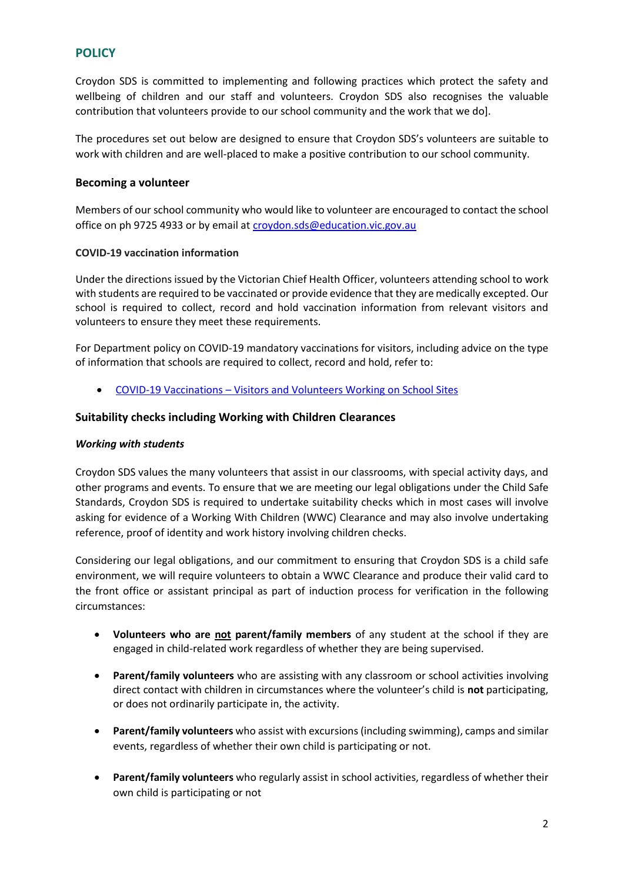# **POLICY**

Croydon SDS is committed to implementing and following practices which protect the safety and wellbeing of children and our staff and volunteers. Croydon SDS also recognises the valuable contribution that volunteers provide to our school community and the work that we do].

The procedures set out below are designed to ensure that Croydon SDS's volunteers are suitable to work with children and are well-placed to make a positive contribution to our school community.

## **Becoming a volunteer**

Members of our school community who would like to volunteer are encouraged to contact the school office on ph 9725 4933 or by email at [croydon.sds@education.vic.gov.au](mailto:croydon.sds@education.vic.gov.au)

#### **COVID-19 vaccination information**

Under the directions issued by the Victorian Chief Health Officer, volunteers attending school to work with students are required to be vaccinated or provide evidence that they are medically excepted. Our school is required to collect, record and hold vaccination information from relevant visitors and volunteers to ensure they meet these requirements.

For Department policy on COVID-19 mandatory vaccinations for visitors, including advice on the type of information that schools are required to collect, record and hold, refer to:

• COVID-19 Vaccinations – [Visitors and Volunteers Working on School Sites](https://www2.education.vic.gov.au/pal/covid-19-vaccinations-visitors-volunteers/policy)

## **Suitability checks including Working with Children Clearances**

#### *Working with students*

Croydon SDS values the many volunteers that assist in our classrooms, with special activity days, and other programs and events. To ensure that we are meeting our legal obligations under the Child Safe Standards, Croydon SDS is required to undertake suitability checks which in most cases will involve asking for evidence of a Working With Children (WWC) Clearance and may also involve undertaking reference, proof of identity and work history involving children checks.

Considering our legal obligations, and our commitment to ensuring that Croydon SDS is a child safe environment, we will require volunteers to obtain a WWC Clearance and produce their valid card to the front office or assistant principal as part of induction process for verification in the following circumstances:

- **Volunteers who are not parent/family members** of any student at the school if they are engaged in child-related work regardless of whether they are being supervised.
- **Parent/family volunteers** who are assisting with any classroom or school activities involving direct contact with children in circumstances where the volunteer's child is **not** participating, or does not ordinarily participate in, the activity.
- **Parent/family volunteers** who assist with excursions (including swimming), camps and similar events, regardless of whether their own child is participating or not.
- **Parent/family volunteers** who regularly assist in school activities, regardless of whether their own child is participating or not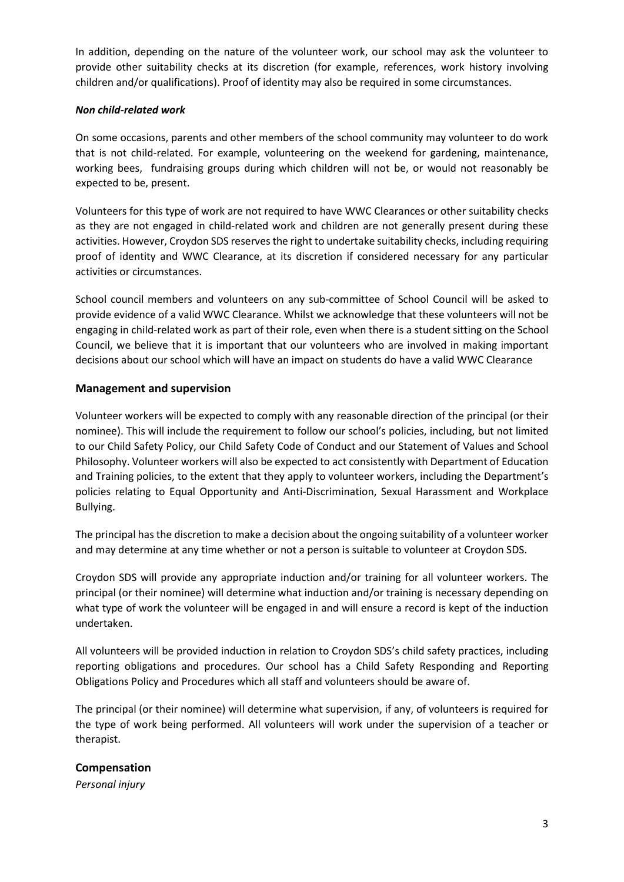In addition, depending on the nature of the volunteer work, our school may ask the volunteer to provide other suitability checks at its discretion (for example, references, work history involving children and/or qualifications). Proof of identity may also be required in some circumstances.

## *Non child-related work*

On some occasions, parents and other members of the school community may volunteer to do work that is not child-related. For example, volunteering on the weekend for gardening, maintenance, working bees, fundraising groups during which children will not be, or would not reasonably be expected to be, present.

Volunteers for this type of work are not required to have WWC Clearances or other suitability checks as they are not engaged in child-related work and children are not generally present during these activities. However, Croydon SDS reserves the right to undertake suitability checks, including requiring proof of identity and WWC Clearance, at its discretion if considered necessary for any particular activities or circumstances.

School council members and volunteers on any sub-committee of School Council will be asked to provide evidence of a valid WWC Clearance. Whilst we acknowledge that these volunteers will not be engaging in child-related work as part of their role, even when there is a student sitting on the School Council, we believe that it is important that our volunteers who are involved in making important decisions about our school which will have an impact on students do have a valid WWC Clearance

## **Management and supervision**

Volunteer workers will be expected to comply with any reasonable direction of the principal (or their nominee). This will include the requirement to follow our school's policies, including, but not limited to our Child Safety Policy, our Child Safety Code of Conduct and our Statement of Values and School Philosophy. Volunteer workers will also be expected to act consistently with Department of Education and Training policies, to the extent that they apply to volunteer workers, including the Department's policies relating to Equal Opportunity and Anti-Discrimination, Sexual Harassment and Workplace Bullying.

The principal has the discretion to make a decision about the ongoing suitability of a volunteer worker and may determine at any time whether or not a person is suitable to volunteer at Croydon SDS.

Croydon SDS will provide any appropriate induction and/or training for all volunteer workers. The principal (or their nominee) will determine what induction and/or training is necessary depending on what type of work the volunteer will be engaged in and will ensure a record is kept of the induction undertaken.

All volunteers will be provided induction in relation to Croydon SDS's child safety practices, including reporting obligations and procedures. Our school has a Child Safety Responding and Reporting Obligations Policy and Procedures which all staff and volunteers should be aware of.

The principal (or their nominee) will determine what supervision, if any, of volunteers is required for the type of work being performed. All volunteers will work under the supervision of a teacher or therapist.

## **Compensation**

*Personal injury*